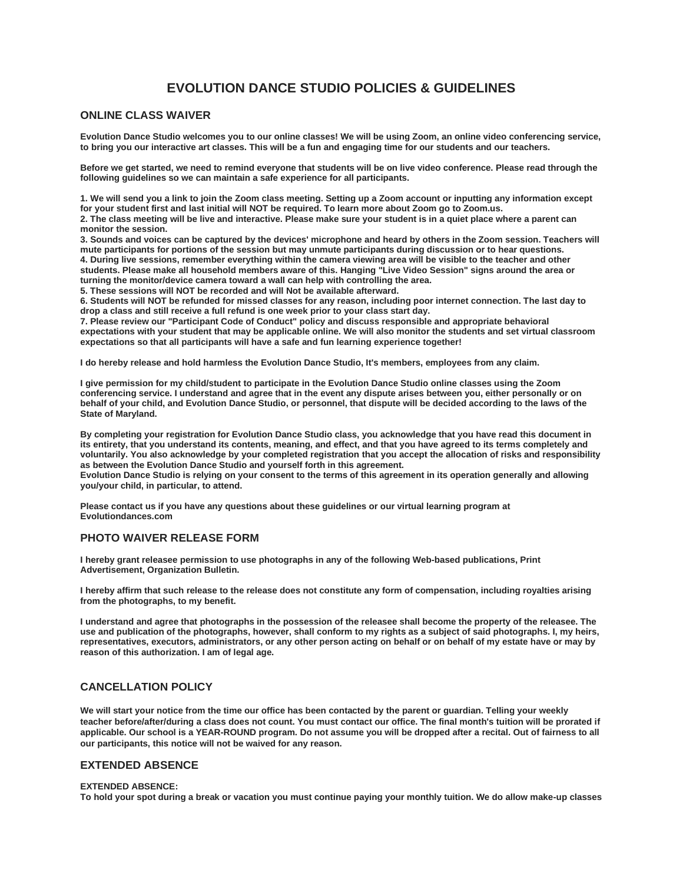# **EVOLUTION DANCE STUDIO POLICIES & GUIDELINES**

# **ONLINE CLASS WAIVER**

**Evolution Dance Studio welcomes you to our online classes! We will be using Zoom, an online video conferencing service, to bring you our interactive art classes. This will be a fun and engaging time for our students and our teachers.**

**Before we get started, we need to remind everyone that students will be on live video conference. Please read through the following guidelines so we can maintain a safe experience for all participants.**

**1. We will send you a link to join the Zoom class meeting. Setting up a Zoom account or inputting any information except for your student first and last initial will NOT be required. To learn more about Zoom go to Zoom.us. 2. The class meeting will be live and interactive. Please make sure your student is in a quiet place where a parent can monitor the session.**

**3. Sounds and voices can be captured by the devices' microphone and heard by others in the Zoom session. Teachers will mute participants for portions of the session but may unmute participants during discussion or to hear questions. 4. During live sessions, remember everything within the camera viewing area will be visible to the teacher and other** 

**students. Please make all household members aware of this. Hanging "Live Video Session" signs around the area or turning the monitor/device camera toward a wall can help with controlling the area.**

**5. These sessions will NOT be recorded and will Not be available afterward.**

**6. Students will NOT be refunded for missed classes for any reason, including poor internet connection. The last day to drop a class and still receive a full refund is one week prior to your class start day.**

**7. Please review our "Participant Code of Conduct" policy and discuss responsible and appropriate behavioral expectations with your student that may be applicable online. We will also monitor the students and set virtual classroom expectations so that all participants will have a safe and fun learning experience together!**

**I do hereby release and hold harmless the Evolution Dance Studio, It's members, employees from any claim.**

**I give permission for my child/student to participate in the Evolution Dance Studio online classes using the Zoom conferencing service. I understand and agree that in the event any dispute arises between you, either personally or on behalf of your child, and Evolution Dance Studio, or personnel, that dispute will be decided according to the laws of the State of Maryland.**

**By completing your registration for Evolution Dance Studio class, you acknowledge that you have read this document in its entirety, that you understand its contents, meaning, and effect, and that you have agreed to its terms completely and voluntarily. You also acknowledge by your completed registration that you accept the allocation of risks and responsibility as between the Evolution Dance Studio and yourself forth in this agreement.**

**Evolution Dance Studio is relying on your consent to the terms of this agreement in its operation generally and allowing you/your child, in particular, to attend.**

**Please contact us if you have any questions about these guidelines or our virtual learning program at Evolutiondances.com**

## **PHOTO WAIVER RELEASE FORM**

**I hereby grant releasee permission to use photographs in any of the following Web-based publications, Print Advertisement, Organization Bulletin.**

**I hereby affirm that such release to the release does not constitute any form of compensation, including royalties arising from the photographs, to my benefit.**

**I understand and agree that photographs in the possession of the releasee shall become the property of the releasee. The use and publication of the photographs, however, shall conform to my rights as a subject of said photographs. I, my heirs, representatives, executors, administrators, or any other person acting on behalf or on behalf of my estate have or may by reason of this authorization. I am of legal age.**

# **CANCELLATION POLICY**

**We will start your notice from the time our office has been contacted by the parent or guardian. Telling your weekly teacher before/after/during a class does not count. You must contact our office. The final month's tuition will be prorated if applicable. Our school is a YEAR-ROUND program. Do not assume you will be dropped after a recital. Out of fairness to all our participants, this notice will not be waived for any reason.**

## **EXTENDED ABSENCE**

### **EXTENDED ABSENCE:**

**To hold your spot during a break or vacation you must continue paying your monthly tuition. We do allow make-up classes**